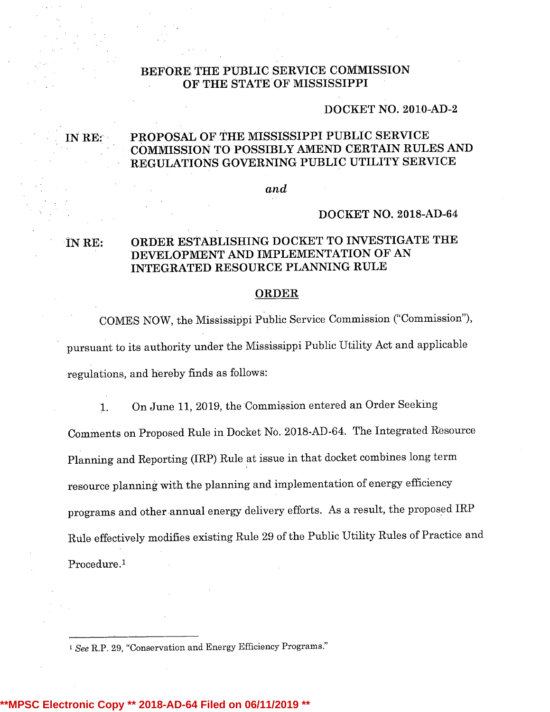### BEFORE THE PUBLIC SERVICE COMMISSION OF THE STATE OF MISSISSIPPI

### DOCKET NO. 2010-AD-2

# IN RE: PROPOSAL OF THE MISSISSIPPI PUBLIC SERVICE COMMISSION TO POSSIBLY AMEND CERTAIN RULES AND REGULATIONS GOVERNING PUBLIC UTILITY SERVICE

#### and

#### DOCKET NO. 2018-AD-64

# ÏN RE: ORDER ESTABLISHING DOCKET TO INVESTIGATE THE DEVELOPMENT AND IMPLEMENTATION OF AN INTEGRATED RESOURCE PLANNING RULE

#### ORDER

COMES NOW, the Mississippi Public Service Commission ("Commission"), pursuant to its authority under the Mississippi Public Utility Act and applicable regulations, and hereby finds as follows:

1. On June 11, 2019, the Commission entered an Order Seeking Comments on Proposed Rule in Docket No. 2018-AD-64. The Integrated Resource Planning and Reporting (IRP) Rule at issue in that docket combines long term resource planning with the planning and implementation of energy efficiency programs and other annual energy delivery efforts. As a result, the proposed IRP Rule effectively modifies existing Rule <sup>29</sup> of the Public Utility Rules of Practice and Procedure.I

<sup>1</sup> See R.P. 29, "Conservation and Energy Efficiency Programs."

#### **\*\*MPSC Electronic Copy \*\* 2018-AD-64 Filed on 06/11/2019 \*\***